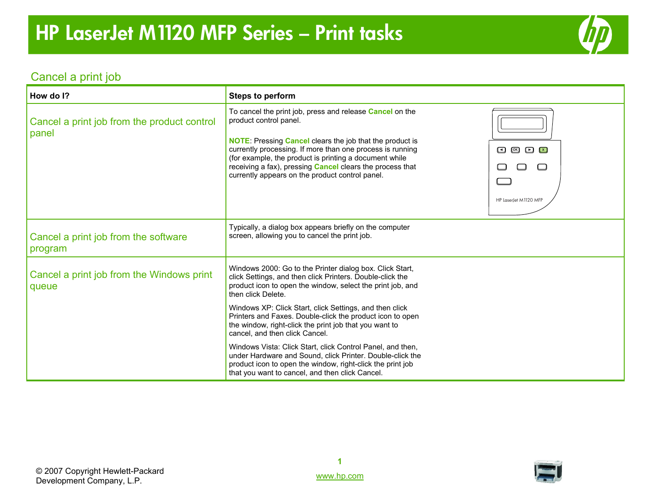

### Cancel a print job

| How do I?                                            | <b>Steps to perform</b>                                                                                                                                                                                                                                                                                                                                                                                            |                                                      |
|------------------------------------------------------|--------------------------------------------------------------------------------------------------------------------------------------------------------------------------------------------------------------------------------------------------------------------------------------------------------------------------------------------------------------------------------------------------------------------|------------------------------------------------------|
| Cancel a print job from the product control<br>panel | To cancel the print job, press and release <b>Cancel</b> on the<br>product control panel.<br><b>NOTE:</b> Pressing <b>Cancel</b> clears the job that the product is<br>currently processing. If more than one process is running<br>(for example, the product is printing a document while)<br>receiving a fax), pressing <b>Cancel</b> clears the process that<br>currently appears on the product control panel. | $\Box$ $\Box$ $\Box$ $\Box$<br>HP LaserJet M1120 MFP |
| Cancel a print job from the software<br>program      | Typically, a dialog box appears briefly on the computer<br>screen, allowing you to cancel the print job.                                                                                                                                                                                                                                                                                                           |                                                      |
| Cancel a print job from the Windows print<br>queue   | Windows 2000: Go to the Printer dialog box. Click Start,<br>click Settings, and then click Printers. Double-click the<br>product icon to open the window, select the print job, and<br>then click Delete.                                                                                                                                                                                                          |                                                      |
|                                                      | Windows XP: Click Start, click Settings, and then click<br>Printers and Faxes. Double-click the product icon to open<br>the window, right-click the print job that you want to<br>cancel, and then click Cancel.                                                                                                                                                                                                   |                                                      |
|                                                      | Windows Vista: Click Start, click Control Panel, and then,<br>under Hardware and Sound, click Printer. Double-click the<br>product icon to open the window, right-click the print job<br>that you want to cancel, and then click Cancel.                                                                                                                                                                           |                                                      |

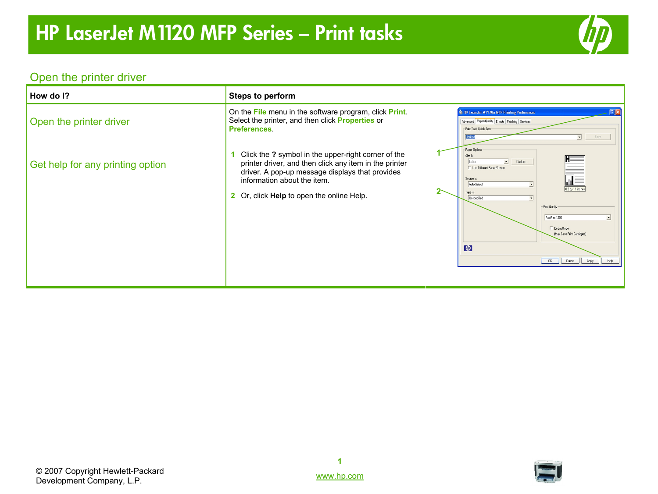

# Open the printer driver

| How do I?                        | Steps to perform                                                                                                                                                                                                                             |                                                                                                                                                                                                                                                                                                                         |
|----------------------------------|----------------------------------------------------------------------------------------------------------------------------------------------------------------------------------------------------------------------------------------------|-------------------------------------------------------------------------------------------------------------------------------------------------------------------------------------------------------------------------------------------------------------------------------------------------------------------------|
| Open the printer driver          | On the File menu in the software program, click Print.<br>Select the printer, and then click Properties or<br><b>Preferences</b>                                                                                                             | $\sqrt{2}$<br>HP LaserJet M1120n MFP Printing Preferences<br>Advanced Paper/Quality Effects Finishing Services<br>- Print Task Quick Sets-                                                                                                                                                                              |
| Get help for any printing option | Click the ? symbol in the upper-right corner of the<br>printer driver, and then click any item in the printer<br>driver. A pop-up message displays that provides<br>information about the item.<br>2 Or, click Help to open the online Help. | Paper Options<br>Size is:<br>Custom<br>$\vert \cdot \vert$<br>Letter<br>Use Different Paper/Covers<br>Source is:<br>Auto Select<br>8.5 by 11 inches<br>Tupe is:<br>Unspecified<br>Print Quality<br>FastRes 1200<br>EconoMode<br>[May Save Print Cartridges]<br>$\lceil \phi \rceil$<br>Help<br>Cancel<br>Apply<br>$-0K$ |



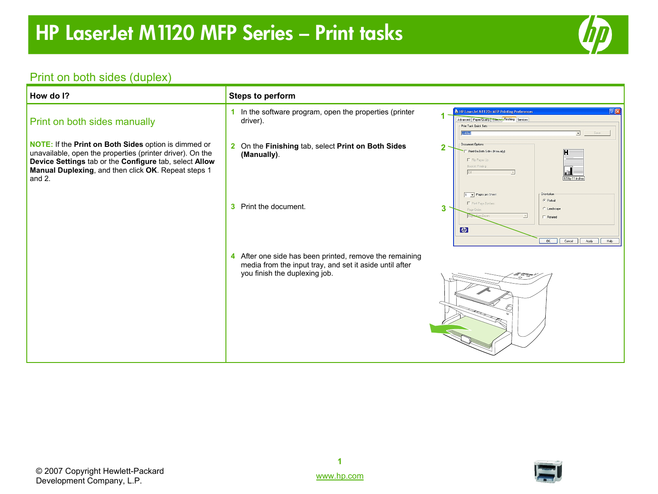

# Print on both sides (duplex)

| How do I?                                                                                                                                                                                                                                    | <b>Steps to perform</b>                                                                                                                             |                                                                                                                                                                                                    |
|----------------------------------------------------------------------------------------------------------------------------------------------------------------------------------------------------------------------------------------------|-----------------------------------------------------------------------------------------------------------------------------------------------------|----------------------------------------------------------------------------------------------------------------------------------------------------------------------------------------------------|
| Print on both sides manually                                                                                                                                                                                                                 | 1 In the software program, open the properties (printer<br>driver).                                                                                 | $\sqrt{2\sqrt{2}}$<br>E HP Laser Jet M1120n MFP Printing Preferences<br>Advanced Paper/Quality Effects Finishing Services<br>Print Task Quick Sets-<br>$\overline{\mathbf{r}}$<br>Save<br>Untilled |
| NOTE: If the Print on Both Sides option is dimmed or<br>unavailable, open the properties (printer driver). On the<br>Device Settings tab or the Configure tab, select Allow<br>Manual Duplexing, and then click OK. Repeat steps 1<br>and 2. | 2 On the Finishing tab, select Print on Both Sides<br>(Manually).                                                                                   | Document Options<br>$\overline{2}$<br>Print On Both Sides (Manually)<br>F Fip Pages Up<br>Booklet Printing<br>Off<br>8.5 by 11 inches                                                              |
|                                                                                                                                                                                                                                              | 3 Print the document.                                                                                                                               | 1 Pages per Sheet<br><b>Orientation</b><br>C Portrait<br>F Print Page Borders<br>3<br>C Landscape<br>Page Orde<br>$\Gamma$ Rotated<br>$\phi$<br>OK<br>Cancel<br>Apply<br>Help                      |
|                                                                                                                                                                                                                                              | 4 After one side has been printed, remove the remaining<br>media from the input tray, and set it aside until after<br>you finish the duplexing job. |                                                                                                                                                                                                    |

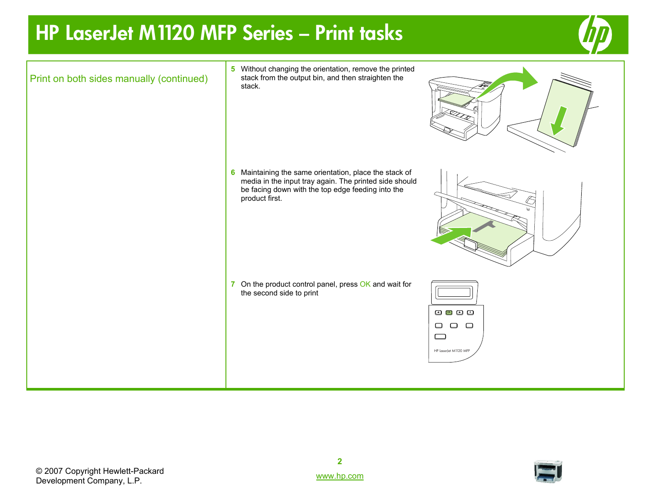# **HP LaserJet M1120 MFP Series – Print tasks**





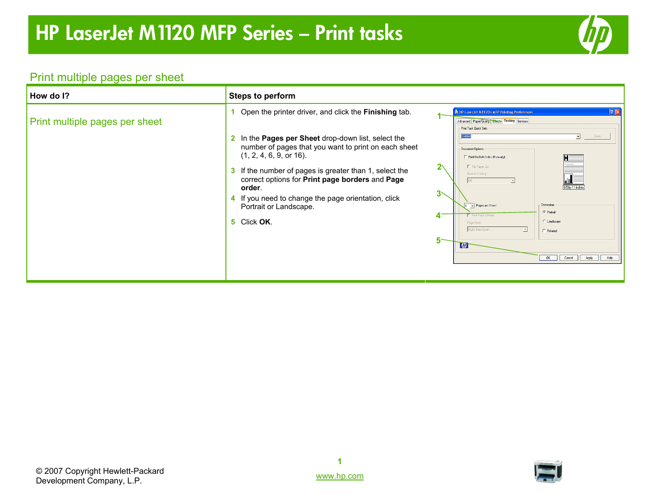

## Print multiple pages per sheet

| How do I?                      | <b>Steps to perform</b>                                                                                                                                                                                                                                                                                                                                                                                                       |                                                                                                                                                                                                                                                                                                                                                                                                                                                                    |
|--------------------------------|-------------------------------------------------------------------------------------------------------------------------------------------------------------------------------------------------------------------------------------------------------------------------------------------------------------------------------------------------------------------------------------------------------------------------------|--------------------------------------------------------------------------------------------------------------------------------------------------------------------------------------------------------------------------------------------------------------------------------------------------------------------------------------------------------------------------------------------------------------------------------------------------------------------|
| Print multiple pages per sheet | Open the printer driver, and click the <b>Finishing</b> tab.<br>2 In the Pages per Sheet drop-down list, select the<br>number of pages that you want to print on each sheet<br>(1, 2, 4, 6, 9, or 16).<br>3 If the number of pages is greater than 1, select the<br>correct options for Print page borders and Page<br>order.<br>4 If you need to change the page orientation, click<br>Portrait or Landscape.<br>5 Click OK. | 2X<br>총 HP LaserJet M1120n MFP Printing Preferences<br>Advanced Paper/Quality Effects Finishing Services<br>Print Task Quick Sets<br>Save<br>Document Options<br>Print On Both Sides (Manually)<br>Fin Pages Up<br>Booklet Printing<br>8.5 by 11 inches<br>3<<br>Pages per Sheet<br>Orientation-<br>$G$ Portrait<br>Fint Page Borders<br>4<br>C Landscape<br>Page Order:<br>Right, then Down<br>$\Gamma$ Rotated<br>5<br>$\lceil$<br>OK   Cancel   Apply  <br>Help |

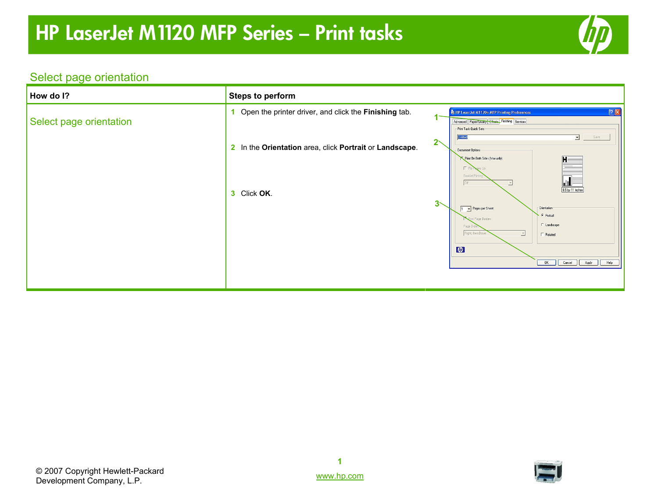

# Select page orientation

| How do I?               | <b>Steps to perform</b>                                 |                                                                                                                                                                           |
|-------------------------|---------------------------------------------------------|---------------------------------------------------------------------------------------------------------------------------------------------------------------------------|
| Select page orientation | Open the printer driver, and click the Finishing tab.   | [2]<br>E HP LaserJet M1120n MFP Printing Preferences<br>Advanced Paper/Uualty Effects Finishing Services<br>Print Task Quick Sets-<br>ᅬ<br>Save<br>Untitled<br>$2^{\sim}$ |
|                         | 2 In the Orientation area, click Portrait or Landscape. | Document Options<br>Print On Both Sides (Manually)<br>ΓÆ<br>Booklet Printin<br>ul 1<br>Off<br>$\overline{z}$                                                              |
|                         | 3 Click OK.                                             | 8.5 by 11 inches<br>$3\diagdown$<br>1 Pages per Sheet<br>Orientation<br>$G$ Portrait<br>rint Page Borders<br>C Landscape<br>Page Ord                                      |
|                         |                                                         | Right, then Down<br>$\overline{\phantom{a}}$<br>$\Box$ Rotated<br>$\left($ <i>hp</i><br>OK<br>Cancel   Apply   Help                                                       |
|                         |                                                         |                                                                                                                                                                           |



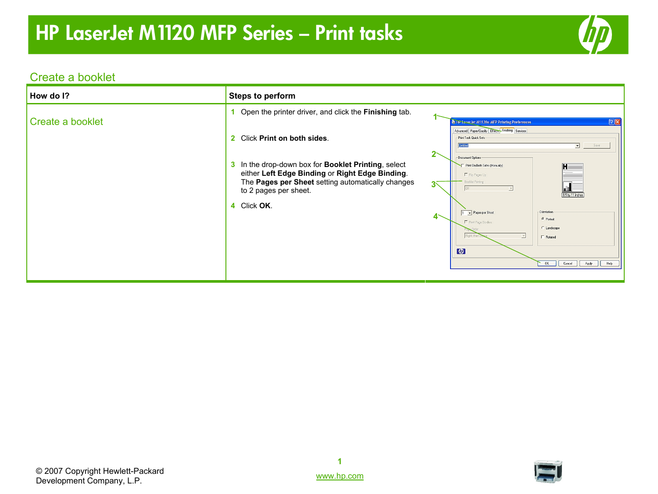

### Create a booklet

| How do I?        | <b>Steps to perform</b>                                                                                                                                                                                                                                                                              |                                                                                                                                                                                                                                                                                                                                                                                                                                                                                                                                                                                                                 |
|------------------|------------------------------------------------------------------------------------------------------------------------------------------------------------------------------------------------------------------------------------------------------------------------------------------------------|-----------------------------------------------------------------------------------------------------------------------------------------------------------------------------------------------------------------------------------------------------------------------------------------------------------------------------------------------------------------------------------------------------------------------------------------------------------------------------------------------------------------------------------------------------------------------------------------------------------------|
| Create a booklet | Open the printer driver, and click the Finishing tab.<br>2 Click Print on both sides.<br>3 In the drop-down box for <b>Booklet Printing</b> , select<br>either Left Edge Binding or Right Edge Binding.<br>The Pages per Sheet setting automatically changes<br>to 2 pages per sheet.<br>4 Click OK. | $[?] \times$<br>The Later Jet M1120n MFP Printing Preferences<br>Advanced Paper/Quality Effects Finishing Services<br>- Print Task Quick Sets<br><b>Untilled</b><br>Save<br>$\overline{z}$<br>Document Options<br>F Print On Both Sides (Manually)<br>Fin Pages Up<br>Booklet Printing<br>$\overline{\mathbf{d}}$<br>3⊼<br>$\overline{\phantom{a}}$<br>8.5 by 11 inches<br><b>Orientation</b><br>1 Pages per Sheet<br>$4\sim$<br><b>G</b> Portrait<br>F Print Page Borders<br>C Landscape<br>Right, then<br>$\overline{\phantom{a}}$<br>$\Box$ Rotated<br>$\phi$<br>OK<br>Cancel<br>Apply<br>$\vert \vert$ Help |



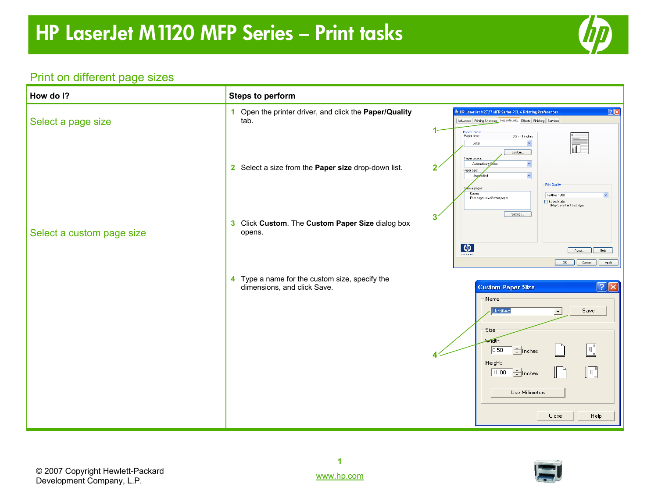

#### Print on different page sizes

| How do I?                 | <b>Steps to perform</b>                                                                                           |                                                                                                                                                                                                                                                                                                                                                                                           |
|---------------------------|-------------------------------------------------------------------------------------------------------------------|-------------------------------------------------------------------------------------------------------------------------------------------------------------------------------------------------------------------------------------------------------------------------------------------------------------------------------------------------------------------------------------------|
| Select a page size        | 1 Open the printer driver, and click the Paper/Quality<br>tab.                                                    | 2x<br>HP Laser Jet M2727 MFP Series PCL 6 Printing Preferences<br>Advanced Printing Shortcuts Paper/Quality Effects Finishing Services                                                                                                                                                                                                                                                    |
| Select a custom page size | 2 Select a size from the Paper size drop-down list.<br>3 Click Custom. The Custom Paper Size dialog box<br>opens. | 1-<br>- Paper Options<br>Paper sizes:<br>$8.5 \times 11$ inches<br>Ÿ<br>Letter<br>Custom<br>Paper source:<br>Automatically Select<br>$\overline{2}$<br>Paper type:<br>Unspecified<br>Print Quality<br>ecial pages:<br>Covers<br>FastRes 1200<br>$\checkmark$<br>Print pages on different paper<br>EconoMode<br>(May Save Print Cartridges)<br>Settings<br>3'<br>$\left($<br>About<br>Help |
|                           |                                                                                                                   | <b>Invent</b><br>OK<br>Cancel<br>Apply                                                                                                                                                                                                                                                                                                                                                    |
|                           | 4 Type a name for the custom size, specify the<br>dimensions, and click Save.                                     | $\boxed{?}$ $\boxed{\times}$<br><b>Custom Paper Size</b><br>Name<br><b>Untitled</b><br>Save<br>ᅬ<br>Size<br><b>Width:</b><br>$\mathbb{L}$<br>$\div$ Inches<br>8.50<br>Height:<br>$\sqrt{2}$<br>$\frac{1}{2}$ Inches<br>11.00<br>Use Millimeters<br>Close<br>Help                                                                                                                          |

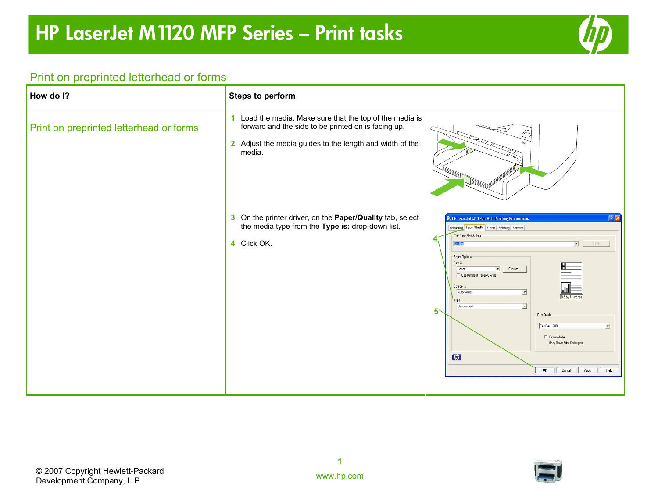

#### Print on preprinted letterhead or forms

| How do I?                               | <b>Steps to perform</b>                                                                                                                                                               |                                                                                                                                                                                                                                                                                                                                                                                                                                                                                                                                             |
|-----------------------------------------|---------------------------------------------------------------------------------------------------------------------------------------------------------------------------------------|---------------------------------------------------------------------------------------------------------------------------------------------------------------------------------------------------------------------------------------------------------------------------------------------------------------------------------------------------------------------------------------------------------------------------------------------------------------------------------------------------------------------------------------------|
| Print on preprinted letterhead or forms | 1 Load the media. Make sure that the top of the media is<br>forward and the side to be printed on is facing up.<br>2 Adjust the media guides to the length and width of the<br>media. |                                                                                                                                                                                                                                                                                                                                                                                                                                                                                                                                             |
|                                         | 3 On the printer driver, on the Paper/Quality tab, select<br>the media type from the Type is: drop-down list.<br>4 Click OK.<br>$5^{\circ}$                                           | 7x<br>● HP LaserJet M1120n MFP Printing Preferences<br>Advanced Paper/Quality Effects Finishing Services<br>Print Task Quick Sets<br>⊡<br>Save<br>Paper Options<br>Size is:<br>Letter<br>$\vert \cdot \vert$<br>Custom<br><b>LE</b> Use Different Paper/Covers<br>Source is:<br>Auto Select<br>$\blacktriangledown$<br>8.5 by 11 inches<br>Type is:<br>Unspecified<br>$\overline{ }$<br>- Print Quality<br>FastRes 1200<br>$\blacktriangledown$<br>F EconoMode<br>(May Save Print Cartridges)<br>$\varphi$<br>Apply<br>0K<br>Cancel<br>Help |

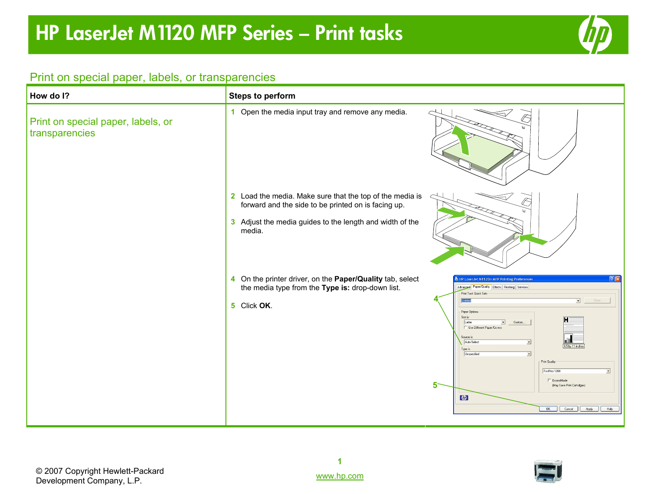

#### Print on special paper, labels, or transparencies

| How do I?                                            | <b>Steps to perform</b>                                                                                                                                                               |                                                                                                                                                                                                                                                                                                                                                                                                                                                                                                                                                                     |
|------------------------------------------------------|---------------------------------------------------------------------------------------------------------------------------------------------------------------------------------------|---------------------------------------------------------------------------------------------------------------------------------------------------------------------------------------------------------------------------------------------------------------------------------------------------------------------------------------------------------------------------------------------------------------------------------------------------------------------------------------------------------------------------------------------------------------------|
| Print on special paper, labels, or<br>transparencies | 1 Open the media input tray and remove any media.                                                                                                                                     |                                                                                                                                                                                                                                                                                                                                                                                                                                                                                                                                                                     |
|                                                      | 2 Load the media. Make sure that the top of the media is<br>forward and the side to be printed on is facing up.<br>3 Adjust the media guides to the length and width of the<br>media. |                                                                                                                                                                                                                                                                                                                                                                                                                                                                                                                                                                     |
|                                                      | 4 On the printer driver, on the Paper/Quality tab, select<br>the media type from the Type is: drop-down list.<br>5 Click OK.                                                          | 7x<br>E HP Laser Jet M1120n MFP Printing Preferences<br>Advanced Paper/Quality Effects Finishing Services<br>Print Task Quick Sets:<br>⊡<br>Save<br>Untitled<br>Paper Options<br>Size is:<br>Letter<br>$\blacktriangledown$<br>Custom<br>□ Use Different Paper/Covers<br>Source is:<br>Auto Select<br>$\overline{\phantom{a}}$<br>8.5 by 11 inches<br>Type is:<br>Unspecified<br>$\overline{\phantom{a}}$<br>Print Quality<br>FastRes 1200<br>$\overline{\phantom{a}}$<br>E EconoMode<br>5<br>(May Save Print Cartridges)<br>$\varphi$<br>OK Cancel   Apply<br>Help |